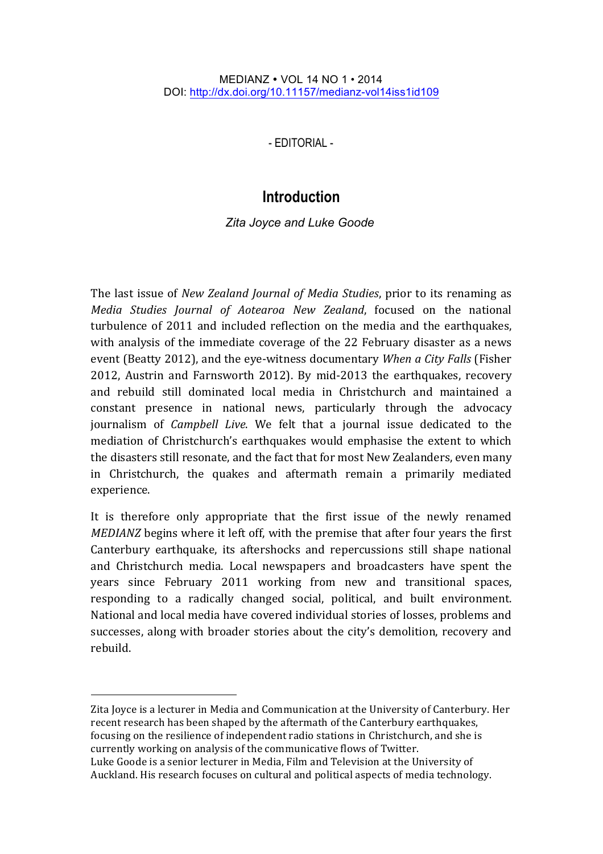## MEDIANZ VOL 14 NO 1 • 2014 DOI: http://dx.doi.org/10.11157/medianz-vol14iss1id109

- EDITORIAL -

## **Introduction**

*Zita Joyce and Luke Goode\**

The last issue of *New Zealand Journal of Media Studies*, prior to its renaming as *Media Studies Journal of Aotearoa New Zealand*, focused on the national turbulence of 2011 and included reflection on the media and the earthquakes, with analysis of the immediate coverage of the 22 February disaster as a news event (Beatty 2012), and the eye-witness documentary *When a City Falls* (Fisher 2012, Austrin and Farnsworth 2012). By mid-2013 the earthquakes, recovery and rebuild still dominated local media in Christchurch and maintained a constant presence in national news, particularly through the advocacy journalism of *Campbell Live*. We felt that a journal issue dedicated to the mediation of Christchurch's earthquakes would emphasise the extent to which the disasters still resonate, and the fact that for most New Zealanders, even many in Christchurch, the quakes and aftermath remain a primarily mediated experience. 

It is therefore only appropriate that the first issue of the newly renamed *MEDIANZ* begins where it left off, with the premise that after four years the first Canterbury earthquake, its aftershocks and repercussions still shape national and Christchurch media. Local newspapers and broadcasters have spent the years since February 2011 working from new and transitional spaces, responding to a radically changed social, political, and built environment. National and local media have covered individual stories of losses, problems and successes, along with broader stories about the city's demolition, recovery and rebuild. 

Zita Joyce is a lecturer in Media and Communication at the University of Canterbury. Her recent research has been shaped by the aftermath of the Canterbury earthquakes, focusing on the resilience of independent radio stations in Christchurch, and she is currently working on analysis of the communicative flows of Twitter. Luke Goode is a senior lecturer in Media, Film and Television at the University of Auckland. His research focuses on cultural and political aspects of media technology.

l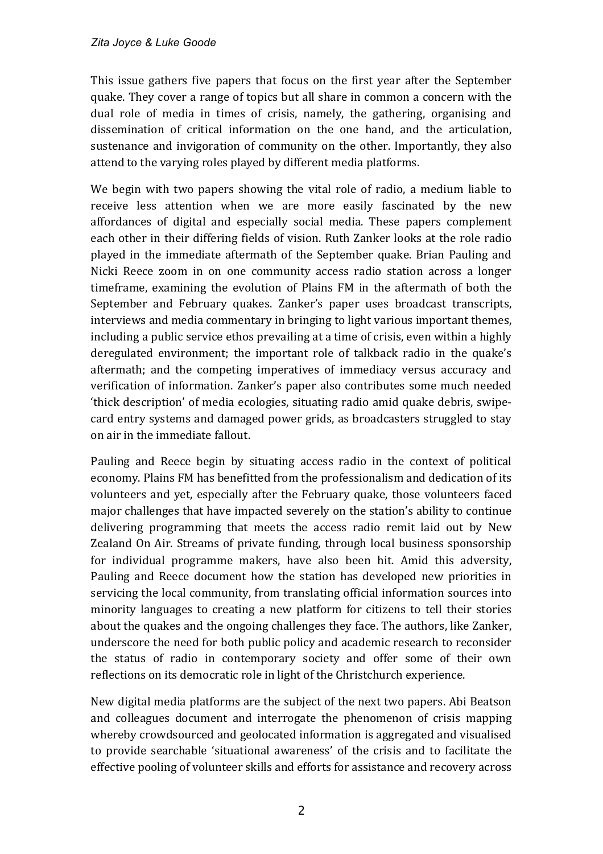This issue gathers five papers that focus on the first year after the September quake. They cover a range of topics but all share in common a concern with the dual role of media in times of crisis, namely, the gathering, organising and dissemination of critical information on the one hand, and the articulation, sustenance and invigoration of community on the other. Importantly, they also attend to the varying roles played by different media platforms.

We begin with two papers showing the vital role of radio, a medium liable to receive less attention when we are more easily fascinated by the new affordances of digital and especially social media. These papers complement each other in their differing fields of vision. Ruth Zanker looks at the role radio played in the immediate aftermath of the September quake. Brian Pauling and Nicki Reece zoom in on one community access radio station across a longer timeframe, examining the evolution of Plains FM in the aftermath of both the September and February quakes. Zanker's paper uses broadcast transcripts, interviews and media commentary in bringing to light various important themes, including a public service ethos prevailing at a time of crisis, even within a highly deregulated environment; the important role of talkback radio in the quake's aftermath; and the competing imperatives of immediacy versus accuracy and verification of information. Zanker's paper also contributes some much needed 'thick description' of media ecologies, situating radio amid quake debris, swipecard entry systems and damaged power grids, as broadcasters struggled to stay on air in the immediate fallout.

Pauling and Reece begin by situating access radio in the context of political economy. Plains FM has benefitted from the professionalism and dedication of its volunteers and vet, especially after the February quake, those volunteers faced major challenges that have impacted severely on the station's ability to continue delivering programming that meets the access radio remit laid out by New Zealand On Air. Streams of private funding, through local business sponsorship for individual programme makers, have also been hit. Amid this adversity, Pauling and Reece document how the station has developed new priorities in servicing the local community, from translating official information sources into minority languages to creating a new platform for citizens to tell their stories about the quakes and the ongoing challenges they face. The authors, like Zanker, underscore the need for both public policy and academic research to reconsider the status of radio in contemporary society and offer some of their own reflections on its democratic role in light of the Christchurch experience.

New digital media platforms are the subject of the next two papers. Abi Beatson and colleagues document and interrogate the phenomenon of crisis mapping whereby crowdsourced and geolocated information is aggregated and visualised to provide searchable 'situational awareness' of the crisis and to facilitate the effective pooling of volunteer skills and efforts for assistance and recovery across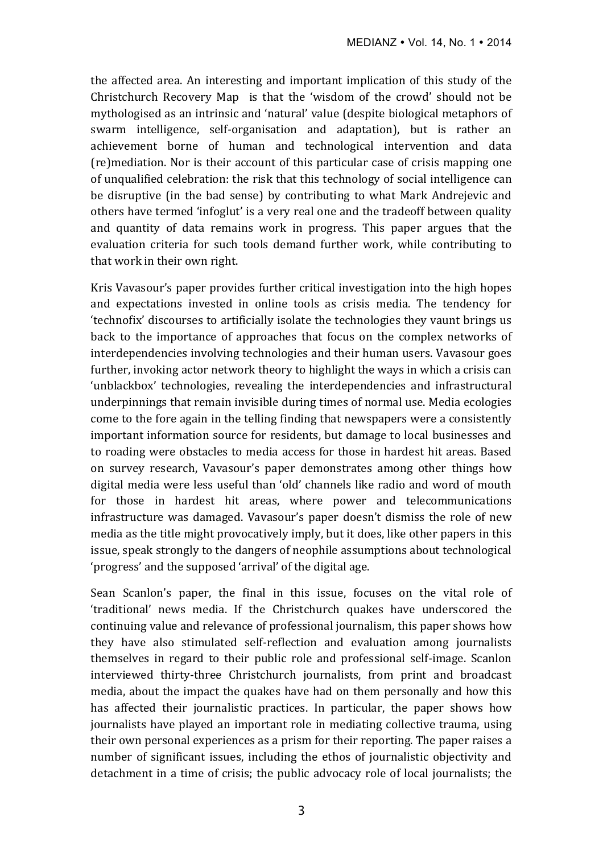the affected area. An interesting and important implication of this study of the Christchurch Recovery Map is that the 'wisdom of the crowd' should not be mythologised as an intrinsic and 'natural' value (despite biological metaphors of swarm intelligence, self-organisation and adaptation), but is rather an achievement borne of human and technological intervention and data (re)mediation. Nor is their account of this particular case of crisis mapping one of unqualified celebration: the risk that this technology of social intelligence can be disruptive (in the bad sense) by contributing to what Mark Andrejevic and others have termed 'infoglut' is a very real one and the tradeoff between quality and quantity of data remains work in progress. This paper argues that the evaluation criteria for such tools demand further work, while contributing to that work in their own right.

Kris Vavasour's paper provides further critical investigation into the high hopes and expectations invested in online tools as crisis media. The tendency for 'technofix' discourses to artificially isolate the technologies they vaunt brings us back to the importance of approaches that focus on the complex networks of interdependencies involving technologies and their human users. Vavasour goes further, invoking actor network theory to highlight the ways in which a crisis can 'unblackbox' technologies, revealing the interdependencies and infrastructural underpinnings that remain invisible during times of normal use. Media ecologies come to the fore again in the telling finding that newspapers were a consistently important information source for residents, but damage to local businesses and to roading were obstacles to media access for those in hardest hit areas. Based on survey research, Vavasour's paper demonstrates among other things how digital media were less useful than 'old' channels like radio and word of mouth for those in hardest hit areas, where power and telecommunications infrastructure was damaged. Vavasour's paper doesn't dismiss the role of new media as the title might provocatively imply, but it does, like other papers in this issue, speak strongly to the dangers of neophile assumptions about technological 'progress' and the supposed 'arrival' of the digital age.

Sean Scanlon's paper, the final in this issue, focuses on the vital role of 'traditional' news media. If the Christchurch quakes have underscored the continuing value and relevance of professional journalism, this paper shows how they have also stimulated self-reflection and evaluation among journalists themselves in regard to their public role and professional self-image. Scanlon interviewed thirty-three Christchurch journalists, from print and broadcast media, about the impact the quakes have had on them personally and how this has affected their journalistic practices. In particular, the paper shows how journalists have played an important role in mediating collective trauma, using their own personal experiences as a prism for their reporting. The paper raises a number of significant issues, including the ethos of journalistic objectivity and detachment in a time of crisis; the public advocacy role of local journalists; the